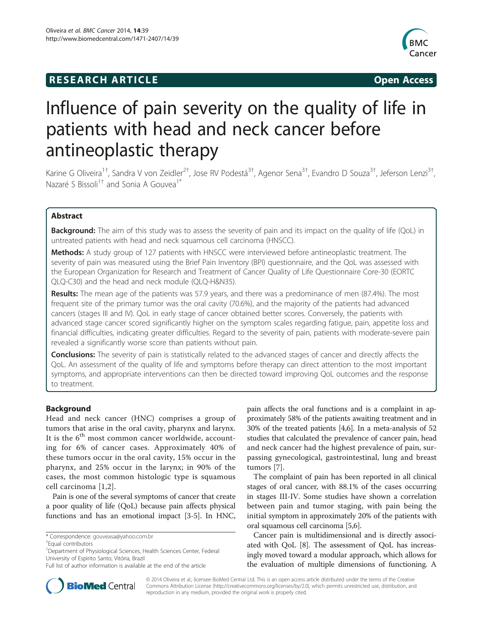# **RESEARCH ARTICLE Example 2014 CONSIDERING CONSIDERING CONSIDERING CONSIDERING CONSIDERING CONSIDERING CONSIDERING CONSIDERING CONSIDERING CONSIDERING CONSIDERING CONSIDERING CONSIDERING CONSIDERING CONSIDERING CONSIDE**



# Influence of pain severity on the quality of life in patients with head and neck cancer before antineoplastic therapy

Karine G Oliveira<sup>1†</sup>, Sandra V von Zeidler<sup>2†</sup>, Jose RV Podestá<sup>3†</sup>, Agenor Sena<sup>3†</sup>, Evandro D Souza<sup>3†</sup>, Jeferson Lenzi<sup>3†</sup> , Nazaré S Bissoli<sup>1†</sup> and Sonia A Gouvea<sup>1\*</sup>

# Abstract

**Background:** The aim of this study was to assess the severity of pain and its impact on the quality of life (QoL) in untreated patients with head and neck squamous cell carcinoma (HNSCC).

Methods: A study group of 127 patients with HNSCC were interviewed before antineoplastic treatment. The severity of pain was measured using the Brief Pain Inventory (BPI) questionnaire, and the QoL was assessed with the European Organization for Research and Treatment of Cancer Quality of Life Questionnaire Core-30 (EORTC QLQ-C30) and the head and neck module (QLQ-H&N35).

Results: The mean age of the patients was 57.9 years, and there was a predominance of men (87.4%). The most frequent site of the primary tumor was the oral cavity (70.6%), and the majority of the patients had advanced cancers (stages III and IV). QoL in early stage of cancer obtained better scores. Conversely, the patients with advanced stage cancer scored significantly higher on the symptom scales regarding fatigue, pain, appetite loss and financial difficulties, indicating greater difficulties. Regard to the severity of pain, patients with moderate-severe pain revealed a significantly worse score than patients without pain.

**Conclusions:** The severity of pain is statistically related to the advanced stages of cancer and directly affects the QoL. An assessment of the quality of life and symptoms before therapy can direct attention to the most important symptoms, and appropriate interventions can then be directed toward improving QoL outcomes and the response to treatment.

# Background

Head and neck cancer (HNC) comprises a group of tumors that arise in the oral cavity, pharynx and larynx. It is the  $6<sup>th</sup>$  most common cancer worldwide, accounting for 6% of cancer cases. Approximately 40% of these tumors occur in the oral cavity, 15% occur in the pharynx, and 25% occur in the larynx; in 90% of the cases, the most common histologic type is squamous cell carcinoma [[1,2](#page-6-0)].

Pain is one of the several symptoms of cancer that create a poor quality of life (QoL) because pain affects physical functions and has an emotional impact [\[3](#page-6-0)-[5\]](#page-6-0). In HNC,

<sup>1</sup>Department of Physiological Sciences, Health Sciences Center, Federal University of Espirito Santo, Vitória, Brazil

pain affects the oral functions and is a complaint in approximately 58% of the patients awaiting treatment and in 30% of the treated patients [[4,6](#page-6-0)]. In a meta-analysis of 52 studies that calculated the prevalence of cancer pain, head and neck cancer had the highest prevalence of pain, surpassing gynecological, gastrointestinal, lung and breast tumors [\[7](#page-6-0)].

The complaint of pain has been reported in all clinical stages of oral cancer, with 88.1% of the cases occurring in stages III-IV. Some studies have shown a correlation between pain and tumor staging, with pain being the initial symptom in approximately 20% of the patients with oral squamous cell carcinoma [\[5,6\]](#page-6-0).

Cancer pain is multidimensional and is directly associated with QoL [[8](#page-6-0)]. The assessment of QoL has increasingly moved toward a modular approach, which allows for the evaluation of multiple dimensions of functioning. A



© 2014 Oliveira et al.; licensee BioMed Central Ltd. This is an open access article distributed under the terms of the Creative Commons Attribution License [\(http://creativecommons.org/licenses/by/2.0\)](http://creativecommons.org/licenses/by/2.0), which permits unrestricted use, distribution, and reproduction in any medium, provided the original work is properly cited.

<sup>\*</sup> Correspondence: [gouveasa@yahoo.com.br](mailto:gouveasa@yahoo.com.br) †

Equal contributors

Full list of author information is available at the end of the article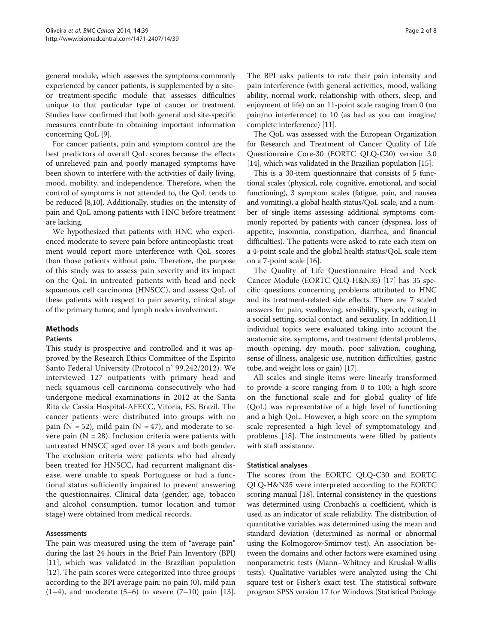general module, which assesses the symptoms commonly experienced by cancer patients, is supplemented by a siteor treatment-specific module that assesses difficulties unique to that particular type of cancer or treatment. Studies have confirmed that both general and site-specific measures contribute to obtaining important information concerning QoL [[9](#page-6-0)].

For cancer patients, pain and symptom control are the best predictors of overall QoL scores because the effects of unrelieved pain and poorly managed symptoms have been shown to interfere with the activities of daily living, mood, mobility, and independence. Therefore, when the control of symptoms is not attended to, the QoL tends to be reduced [\[8,10\]](#page-6-0). Additionally, studies on the intensity of pain and QoL among patients with HNC before treatment are lacking.

We hypothesized that patients with HNC who experienced moderate to severe pain before antineoplastic treatment would report more interference with QoL scores than those patients without pain. Therefore, the purpose of this study was to assess pain severity and its impact on the QoL in untreated patients with head and neck squamous cell carcinoma (HNSCC), and assess QoL of these patients with respect to pain severity, clinical stage of the primary tumor, and lymph nodes involvement.

# Methods

#### Patients

This study is prospective and controlled and it was approved by the Research Ethics Committee of the Espirito Santo Federal University (Protocol n° 99.242/2012). We interviewed 127 outpatients with primary head and neck squamous cell carcinoma consecutively who had undergone medical examinations in 2012 at the Santa Rita de Cassia Hospital-AFECC, Vitoria, ES, Brazil. The cancer patients were distributed into groups with no pain (N = 52), mild pain (N = 47), and moderate to severe pain  $(N = 28)$ . Inclusion criteria were patients with untreated HNSCC aged over 18 years and both gender. The exclusion criteria were patients who had already been treated for HNSCC, had recurrent malignant disease, were unable to speak Portuguese or had a functional status sufficiently impaired to prevent answering the questionnaires. Clinical data (gender, age, tobacco and alcohol consumption, tumor location and tumor stage) were obtained from medical records.

# Assessments

The pain was measured using the item of "average pain" during the last 24 hours in the Brief Pain Inventory (BPI) [[11\]](#page-6-0), which was validated in the Brazilian population [[12\]](#page-6-0). The pain scores were categorized into three groups according to the BPI average pain: no pain (0), mild pain  $(1-4)$ , and moderate  $(5-6)$  to severe  $(7-10)$  pain [[13](#page-7-0)]. The BPI asks patients to rate their pain intensity and pain interference (with general activities, mood, walking ability, normal work, relationship with others, sleep, and enjoyment of life) on an 11-point scale ranging from 0 (no

complete interference) [\[11](#page-6-0)]. The QoL was assessed with the European Organization for Research and Treatment of Cancer Quality of Life Questionnaire Core-30 (EORTC QLQ-C30) version 3.0 [[14](#page-7-0)], which was validated in the Brazilian population [\[15\]](#page-7-0).

pain/no interference) to 10 (as bad as you can imagine/

This is a 30-item questionnaire that consists of 5 functional scales (physical, role, cognitive, emotional, and social functioning), 3 symptom scales (fatigue, pain, and nausea and vomiting), a global health status/QoL scale, and a number of single items assessing additional symptoms commonly reported by patients with cancer (dyspnea, loss of appetite, insomnia, constipation, diarrhea, and financial difficulties). The patients were asked to rate each item on a 4-point scale and the global health status/QoL scale item on a 7-point scale [\[16](#page-7-0)].

The Quality of Life Questionnaire Head and Neck Cancer Module (EORTC QLQ-H&N35) [[17](#page-7-0)] has 35 specific questions concerning problems attributed to HNC and its treatment-related side effects. There are 7 scaled answers for pain, swallowing, sensibility, speech, eating in a social setting, social contact, and sexuality. In addition,11 individual topics were evaluated taking into account the anatomic site, symptoms, and treatment (dental problems, mouth opening, dry mouth, poor salivation, coughing, sense of illness, analgesic use, nutrition difficulties, gastric tube, and weight loss or gain) [[17](#page-7-0)].

All scales and single items were linearly transformed to provide a score ranging from 0 to 100; a high score on the functional scale and for global quality of life (QoL) was representative of a high level of functioning and a high QoL. However, a high score on the symptom scale represented a high level of symptomatology and problems [\[18](#page-7-0)]. The instruments were filled by patients with staff assistance.

#### Statistical analyses

The scores from the EORTC QLQ-C30 and EORTC QLQ-H&N35 were interpreted according to the EORTC scoring manual [[18](#page-7-0)]. Internal consistency in the questions was determined using Cronbach's α coefficient, which is used as an indicator of scale reliability. The distribution of quantitative variables was determined using the mean and standard deviation (determined as normal or abnormal using the Kolmogorov-Smirnov test). An association between the domains and other factors were examined using nonparametric tests (Mann–Whitney and Kruskal-Wallis tests). Qualitative variables were analyzed using the Chi square test or Fisher's exact test. The statistical software program SPSS version 17 for Windows (Statistical Package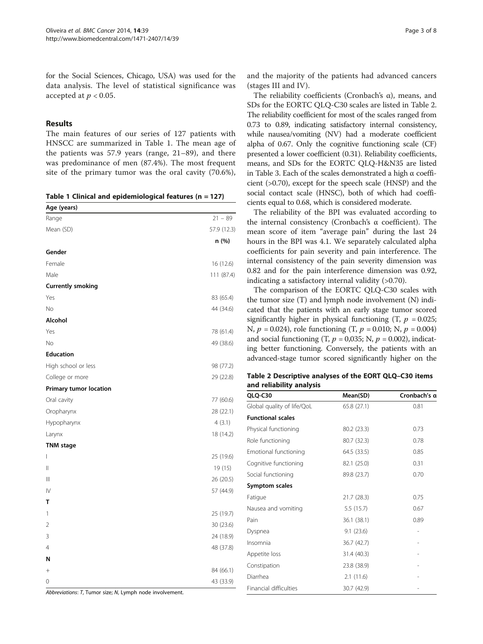for the Social Sciences, Chicago, USA) was used for the data analysis. The level of statistical significance was accepted at  $p < 0.05$ .

# Results

The main features of our series of 127 patients with HNSCC are summarized in Table 1. The mean age of the patients was 57.9 years (range, 21–89), and there was predominance of men (87.4%). The most frequent site of the primary tumor was the oral cavity (70.6%),

|  |  |  |  | Table 1 Clinical and epidemiological features ( $n = 127$ ) |  |  |  |  |
|--|--|--|--|-------------------------------------------------------------|--|--|--|--|
|--|--|--|--|-------------------------------------------------------------|--|--|--|--|

| Age (years)              |             |
|--------------------------|-------------|
| Range                    | $21 - 89$   |
| Mean (SD)                | 57.9 (12.3) |
|                          | n (%)       |
| Gender                   |             |
| Female                   | 16 (12.6)   |
| Male                     | 111 (87.4)  |
| <b>Currently smoking</b> |             |
| Yes                      | 83 (65.4)   |
| <b>No</b>                | 44 (34.6)   |
| Alcohol                  |             |
| Yes                      | 78 (61.4)   |
| <b>No</b>                | 49 (38.6)   |
| <b>Education</b>         |             |
| High school or less      | 98 (77.2)   |
| College or more          | 29 (22.8)   |
| Primary tumor location   |             |
| Oral cavity              | 77 (60.6)   |
| Oropharynx               | 28 (22.1)   |
| Hypopharynx              | 4(3.1)      |
| Larynx                   | 18 (14.2)   |
| <b>TNM</b> stage         |             |
| I                        | 25 (19.6)   |
| Ш                        | 19 (15)     |
| Ш                        | 26 (20.5)   |
| IV                       | 57 (44.9)   |
| т                        |             |
| 1                        | 25 (19.7)   |
| 2                        | 30 (23.6)   |
| 3                        | 24 (18.9)   |
| $\overline{4}$           | 48 (37.8)   |
| N                        |             |
| $^{+}$                   | 84 (66.1)   |
| 0                        | 43 (33.9)   |

Abbreviations: T, Tumor size; N, Lymph node involvement.

and the majority of the patients had advanced cancers (stages III and IV).

The reliability coefficients (Cronbach's  $\alpha$ ), means, and SDs for the EORTC QLQ-C30 scales are listed in Table 2. The reliability coefficient for most of the scales ranged from 0.73 to 0.89, indicating satisfactory internal consistency, while nausea/vomiting (NV) had a moderate coefficient alpha of 0.67. Only the cognitive functioning scale (CF) presented a lower coefficient (0.31). Reliability coefficients, means, and SDs for the EORTC QLQ-H&N35 are listed in Table [3](#page-3-0). Each of the scales demonstrated a high α coefficient (>0.70), except for the speech scale (HNSP) and the social contact scale (HNSC), both of which had coefficients equal to 0.68, which is considered moderate.

The reliability of the BPI was evaluated according to the internal consistency (Cronbach's α coefficient). The mean score of item "average pain" during the last 24 hours in the BPI was 4.1. We separately calculated alpha coefficients for pain severity and pain interference. The internal consistency of the pain severity dimension was 0.82 and for the pain interference dimension was 0.92, indicating a satisfactory internal validity (>0.70).

The comparison of the EORTC QLQ-C30 scales with the tumor size (T) and lymph node involvement (N) indicated that the patients with an early stage tumor scored significantly higher in physical functioning  $(T, p = 0.025)$ ; N,  $p = 0.024$ ), role functioning (T,  $p = 0.010$ ; N,  $p = 0.004$ ) and social functioning  $(T, p = 0.035; N, p = 0.002)$ , indicating better functioning. Conversely, the patients with an advanced-stage tumor scored significantly higher on the

Table 2 Descriptive analyses of the EORT QLQ–C30 items and reliability analysis

| QLQ-C30                       | Mean(SD)    | Cronbach's a |
|-------------------------------|-------------|--------------|
| Global quality of life/QoL    | 65.8 (27.1) | 0.81         |
| <b>Functional scales</b>      |             |              |
| Physical functioning          | 80.2 (23.3) | 0.73         |
| Role functioning              | 80.7 (32.3) | 0.78         |
| Emotional functioning         | 64.5 (33.5) | 0.85         |
| Cognitive functioning         | 82.1 (25.0) | 0.31         |
| Social functioning            | 89.8 (23.7) | 0.70         |
| Symptom scales                |             |              |
| Fatigue                       | 21.7 (28.3) | 0.75         |
| Nausea and vomiting           | 5.5(15.7)   | 0.67         |
| Pain                          | 36.1 (38.1) | 0.89         |
| Dyspnea                       | 9.1(23.6)   |              |
| Insomnia                      | 36.7 (42.7) |              |
| Appetite loss                 | 31.4 (40.3) |              |
| Constipation                  | 23.8 (38.9) |              |
| Diarrhea                      | 2.1(11.6)   |              |
| <b>Financial difficulties</b> | 30.7 (42.9) |              |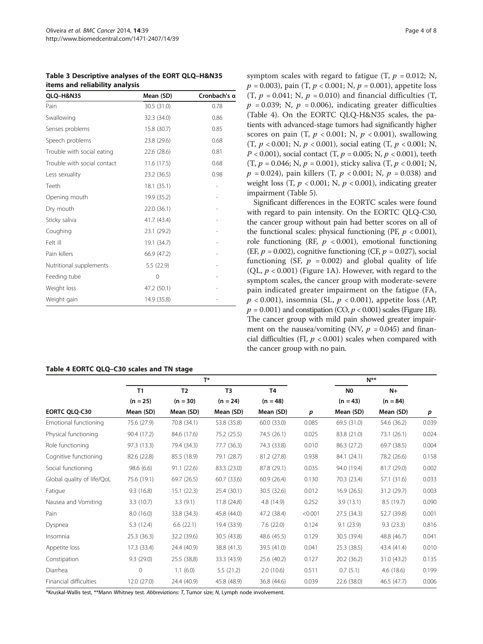<span id="page-3-0"></span>

| Table 3 Descriptive analyses of the EORT QLQ-H&N35 |
|----------------------------------------------------|
| items and reliability analysis                     |

| QLQ-H&N35                   | Mean (SD)   | Cronbach's a |
|-----------------------------|-------------|--------------|
| Pain                        | 30.5 (31.0) | 0.78         |
| Swallowing                  | 32.3 (34.0) | 0.86         |
| Senses problems             | 15.8 (30.7) | 0.85         |
| Speech problems             | 23.8 (29.6) | 0.68         |
| Trouble with social eating  | 22.6 (28.6) | 0.81         |
| Trouble with social contact | 11.6(17.5)  | 0.68         |
| Less sexuality              | 23.2 (36.5) | 0.98         |
| Teeth                       | 18.1(35.1)  |              |
| Opening mouth               | 19.9 (35.2) |              |
| Dry mouth                   | 22.0 (36.1) |              |
| Sticky saliva               | 41.7 (43.4) |              |
| Coughing                    | 23.1 (29.2) |              |
| Felt ill                    | 19.1 (34.7) |              |
| Pain killers                | 66.9 (47.2) |              |
| Nutritional supplements     | 5.5(22.9)   |              |
| Feeding tube                | 0           |              |
| Weight loss                 | 47.2 (50.1) |              |
| Weight gain                 | 14.9 (35.8) |              |

# Table 4 EORTC QLQ–C30 scales and TN stage

symptom scales with regard to fatigue  $(T, p = 0.012; N,$  $p = 0.003$ , pain (T,  $p < 0.001$ ; N,  $p = 0.001$ ), appetite loss (T,  $p = 0.041$ ; N,  $p = 0.010$ ) and financial difficulties (T,  $p = 0.039$ ; N,  $p = 0.006$ ), indicating greater difficulties (Table 4). On the EORTC QLQ-H&N35 scales, the patients with advanced-stage tumors had significantly higher scores on pain (T,  $p < 0.001$ ; N,  $p < 0.001$ ), swallowing (T,  $p < 0.001$ ; N,  $p < 0.001$ ), social eating (T,  $p < 0.001$ ; N,  $P < 0.001$ ), social contact (T,  $p = 0.005$ ; N,  $p < 0.001$ ), teeth (T,  $p = 0.046$ ; N,  $p = 0.001$ ), sticky saliva (T,  $p < 0.001$ ; N,  $p = 0.024$ , pain killers (T,  $p < 0.001$ ; N,  $p = 0.038$ ) and weight loss (T,  $p < 0.001$ ; N,  $p < 0.001$ ), indicating greater impairment (Table [5](#page-4-0)).

Significant differences in the EORTC scales were found with regard to pain intensity. On the EORTC QLQ-C30, the cancer group without pain had better scores on all of the functional scales: physical functioning (PF,  $p < 0.001$ ), role functioning (RF,  $p < 0.001$ ), emotional functioning (EF,  $p = 0.002$ ), cognitive functioning (CF,  $p = 0.027$ ), social functioning (SF,  $p = 0.002$ ) and global quality of life (OL,  $p < 0.001$ ) (Figure [1](#page-5-0)A). However, with regard to the symptom scales, the cancer group with moderate-severe pain indicated greater impairment on the fatigue (FA,  $p < 0.001$ ), insomnia (SL,  $p < 0.001$ ), appetite loss (AP,  $p = 0.001$ ) and constipation (CO,  $p < 0.001$ ) scales (Figure [1](#page-5-0)B). The cancer group with mild pain showed greater impairment on the nausea/vomiting (NV,  $p = 0.045$ ) and financial difficulties (FI,  $p < 0.001$ ) scales when compared with the cancer group with no pain.

|                            | $T^*$       |                |                |                |         | $N^{\ast\ast}$ |             |       |
|----------------------------|-------------|----------------|----------------|----------------|---------|----------------|-------------|-------|
|                            | T1          | T <sub>2</sub> | T <sub>3</sub> | T <sub>4</sub> |         | N <sub>0</sub> | $N+$        |       |
|                            | $(n = 25)$  | $(n = 30)$     | $(n = 24)$     | $(n = 48)$     |         | $(n = 43)$     | $(n = 84)$  |       |
| EORTC QLQ-C30              | Mean (SD)   | Mean (SD)      | Mean (SD)      | Mean (SD)      | p       | Mean (SD)      | Mean (SD)   | p     |
| Emotional functioning      | 75.6 (27.9) | 70.8 (34.1)    | 53.8 (35.8)    | 60.0 (33.0)    | 0.085   | 69.5 (31.0)    | 54.6 (36.2) | 0.039 |
| Physical functioning       | 90.4 (17.2) | 84.6 (17.6)    | 75.2 (25.5)    | 74.5 (26.1)    | 0.025   | 83.8 (21.0)    | 73.1 (26.1) | 0.024 |
| Role functioning           | 97.3 (13.3) | 79.4 (34.3)    | 77.7 (36.3)    | 74.3 (33.8)    | 0.010   | 86.3 (27.2)    | 69.7 (38.5) | 0.004 |
| Cognitive functioning      | 82.6 (22.8) | 85.5 (18.9)    | 79.1 (28.7)    | 81.2 (27.8)    | 0.938   | 84.1 (24.1)    | 78.2 (26.6) | 0.158 |
| Social functioning         | 98.6 (6.6)  | 91.1(22.6)     | 83.3 (23.0)    | 87.8 (29.1)    | 0.035   | 94.0 (19.4)    | 81.7 (29.0) | 0.002 |
| Global quality of life/QoL | 75.6 (19.1) | 69.7 (26.5)    | 60.7 (33.6)    | 60.9(26.4)     | 0.130   | 70.3 (23.4)    | 57.1 (31.6) | 0.033 |
| Fatigue                    | 9.3(16.8)   | 15.1(22.3)     | 25.4 (30.1)    | 30.5 (32.6)    | 0.012   | 16.9(26.5)     | 31.2 (29.7) | 0.003 |
| Nausea and Vomiting        | 3.3(10.7)   | 3.3(9.1)       | 11.8(24.8)     | 4.8 (14.9)     | 0.252   | 3.9(13.1)      | 8.5(19.7)   | 0.090 |
| Pain                       | 8.0(16.0)   | 33.8 (34.3)    | 45.8 (44.0)    | 47.2 (38.4)    | < 0.001 | 27.5(34.3)     | 52.7 (39.8) | 0.001 |
| Dyspnea                    | 5.3(12.4)   | 6.6(22.1)      | 19.4 (33.9)    | 7.6(22.0)      | 0.124   | 9.1(23.9)      | 9.3(23.3)   | 0.816 |
| Insomnia                   | 25.3(36.3)  | 32.2 (39.6)    | 30.5 (43.8)    | 48.6 (45.5)    | 0.129   | 30.5 (39.4)    | 48.8 (46.7) | 0.041 |
| Appetite loss              | 17.3 (33.4) | 24.4 (40.9)    | 38.8 (41.3)    | 39.5 (41.0)    | 0.041   | 25.3(38.5)     | 43.4 (41.4) | 0.010 |
| Constipation               | 9.3(29.0)   | 25.5 (38,8)    | 33.3 (43.9)    | 25.6 (40.2)    | 0.127   | 20.2 (36.2)    | 31.0 (43.2) | 0.135 |
| Diarrhea                   | 0           | 1.1(6.0)       | 5.5(21.2)      | 2.0(10.6)      | 0.511   | 0.7(5.1)       | 4.6(18.6)   | 0.199 |
| Financial difficulties     | 12.0(27.0)  | 24.4 (40.9)    | 45.8 (48.9)    | 36.8 (44.6)    | 0.039   | 22.6(38.0)     | 46.5 (47.7) | 0.006 |

\*Kruskal-Wallis test, \*\*Mann Whitney test. Abbreviations: T, Tumor size; N, Lymph node involvement.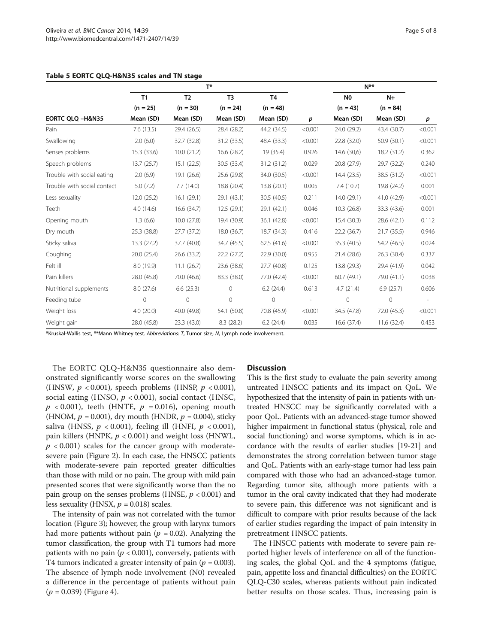<span id="page-4-0"></span>

|  |  |  | Table 5 EORTC QLQ-H&N35 scales and TN stage |  |  |  |  |  |
|--|--|--|---------------------------------------------|--|--|--|--|--|
|--|--|--|---------------------------------------------|--|--|--|--|--|

|                             | $T^*$        |                |                |                |                  | $N^{\ast\ast}$ |              |         |
|-----------------------------|--------------|----------------|----------------|----------------|------------------|----------------|--------------|---------|
|                             | T1           | T <sub>2</sub> | T <sub>3</sub> | T <sub>4</sub> |                  | N <sub>0</sub> | $N+$         |         |
|                             | $(n = 25)$   | $(n = 30)$     | $(n = 24)$     | $(n = 48)$     |                  | $(n = 43)$     | $(n = 84)$   |         |
| EORTC QLQ -H&N35            | Mean (SD)    | Mean (SD)      | Mean (SD)      | Mean (SD)      | $\boldsymbol{p}$ | Mean (SD)      | Mean (SD)    | p       |
| Pain                        | 7.6(13.5)    | 29.4 (26.5)    | 28.4 (28.2)    | 44.2 (34.5)    | < 0.001          | 24.0 (29.2)    | 43.4 (30.7)  | < 0.001 |
| Swallowing                  | 2.0(6.0)     | 32.7 (32.8)    | 31.2 (33.5)    | 48.4 (33.3)    | < 0.001          | 22.8 (32.0)    | 50.9 (30.1)  | < 0.001 |
| Senses problems             | 15.3 (33.6)  | 10.0(21.2)     | 16.6 (28.2)    | 19 (35.4)      | 0.926            | 14.6 (30,6)    | 18.2 (31.2)  | 0.362   |
| Speech problems             | 13.7(25.7)   | 15.1(22.5)     | 30.5 (33.4)    | 31.2 (31.2)    | 0.029            | 20.8 (27.9)    | 29.7 (32.2)  | 0.240   |
| Trouble with social eating  | 2.0(6.9)     | 19.1 (26.6)    | 25.6 (29.8)    | 34.0 (30.5)    | < 0.001          | 14.4 (23.5)    | 38.5 (31.2)  | < 0.001 |
| Trouble with social contact | 5.0(7.2)     | 7.7(14.0)      | 18.8 (20.4)    | 13.8 (20.1)    | 0.005            | 7.4(10.7)      | 19.8 (24.2)  | 0.001   |
| Less sexuality              | 12.0(25.2)   | 16.1(29.1)     | 29.1 (43.1)    | 30.5 (40.5)    | 0.211            | 14.0(29.1)     | 41.0 (42.9)  | < 0.001 |
| Teeth                       | 4.0(14.6)    | 16.6 (34.7)    | 12.5(29.1)     | 29.1 (42.1)    | 0.046            | 10.3(26.8)     | 33.3 (43.6)  | 0.001   |
| Opening mouth               | 1.3(6.6)     | 10.0(27.8)     | 19.4 (30.9)    | 36.1 (42.8)    | < 0.001          | 15.4 (30.3)    | 28.6 (42.1)  | 0.112   |
| Dry mouth                   | 25.3 (38.8)  | 27.7(37.2)     | 18.0 (36.7)    | 18.7 (34.3)    | 0.416            | 22.2 (36.7)    | 21.7(35.5)   | 0.946   |
| Sticky saliva               | 13.3 (27.2)  | 37.7 (40.8)    | 34.7 (45.5)    | 62.5(41.6)     | < 0.001          | 35.3 (40.5)    | 54.2 (46.5)  | 0.024   |
| Coughing                    | 20.0 (25.4)  | 26.6 (33.2)    | 22.2 (27.2)    | 22.9 (30.0)    | 0.955            | 21.4 (28.6)    | 26.3 (30.4)  | 0.337   |
| Felt ill                    | 8.0 (19.9)   | 11.1(26.7)     | 23.6 (38.6)    | 27.7 (40.8)    | 0.125            | 13.8 (29.3)    | 29.4 (41.9)  | 0.042   |
| Pain killers                | 28.0 (45.8)  | 70.0 (46.6)    | 83.3 (38.0)    | 77.0 (42.4)    | < 0.001          | 60.7 (49.1)    | 79.0 (41.1)  | 0.038   |
| Nutritional supplements     | 8.0(27.6)    | 6.6(25.3)      | $\mathbf{0}$   | 6.2(24.4)      | 0.613            | 4.7(21.4)      | 6.9(25.7)    | 0.606   |
| Feeding tube                | $\mathbf{0}$ | $\mathbf 0$    | $\mathbf{0}$   | $\mathbf 0$    |                  | $\mathbf{0}$   | $\mathbf{0}$ | $\sim$  |
| Weight loss                 | 4.0(20.0)    | 40.0 (49.8)    | 54.1 (50.8)    | 70.8 (45.9)    | < 0.001          | 34.5 (47.8)    | 72.0 (45.3)  | < 0.001 |
| Weight gain                 | 28.0 (45.8)  | 23.3 (43.0)    | 8.3(28.2)      | 6.2(24.4)      | 0.035            | 16.6 (37.4)    | 11.6 (32.4)  | 0.453   |

\*Kruskal-Wallis test, \*\*Mann Whitney test. Abbreviations: T, Tumor size; N, Lymph node involvement.

The EORTC QLQ-H&N35 questionnaire also demonstrated significantly worse scores on the swallowing (HNSW,  $p < 0.001$ ), speech problems (HNSP,  $p < 0.001$ ), social eating (HNSO,  $p < 0.001$ ), social contact (HNSC,  $p < 0.001$ ), teeth (HNTE,  $p = 0.016$ ), opening mouth (HNOM,  $p = 0.001$ ), dry mouth (HNDR,  $p = 0.004$ ), sticky saliva (HNSS,  $p < 0.001$ ), feeling ill (HNFI,  $p < 0.001$ ), pain killers (HNPK,  $p < 0.001$ ) and weight loss (HNWL,  $p < 0.001$ ) scales for the cancer group with moderatesevere pain (Figure [2\)](#page-5-0). In each case, the HNSCC patients with moderate-severe pain reported greater difficulties than those with mild or no pain. The group with mild pain presented scores that were significantly worse than the no pain group on the senses problems (HNSE,  $p < 0.001$ ) and less sexuality (HNSX,  $p = 0.018$ ) scales.

The intensity of pain was not correlated with the tumor location (Figure [3](#page-5-0)); however, the group with larynx tumors had more patients without pain ( $p = 0.02$ ). Analyzing the tumor classification, the group with T1 tumors had more patients with no pain  $(p < 0.001)$ , conversely, patients with T4 tumors indicated a greater intensity of pain ( $p = 0.003$ ). The absence of lymph node involvement (N0) revealed a difference in the percentage of patients without pain  $(p = 0.039)$  (Figure [4](#page-6-0)).

#### **Discussion**

This is the first study to evaluate the pain severity among untreated HNSCC patients and its impact on QoL. We hypothesized that the intensity of pain in patients with untreated HNSCC may be significantly correlated with a poor QoL. Patients with an advanced-stage tumor showed higher impairment in functional status (physical, role and social functioning) and worse symptoms, which is in accordance with the results of earlier studies [\[19-21](#page-7-0)] and demonstrates the strong correlation between tumor stage and QoL. Patients with an early-stage tumor had less pain compared with those who had an advanced-stage tumor. Regarding tumor site, although more patients with a tumor in the oral cavity indicated that they had moderate to severe pain, this difference was not significant and is difficult to compare with prior results because of the lack of earlier studies regarding the impact of pain intensity in pretreatment HNSCC patients.

The HNSCC patients with moderate to severe pain reported higher levels of interference on all of the functioning scales, the global QoL and the 4 symptoms (fatigue, pain, appetite loss and financial difficulties) on the EORTC QLQ-C30 scales, whereas patients without pain indicated better results on those scales. Thus, increasing pain is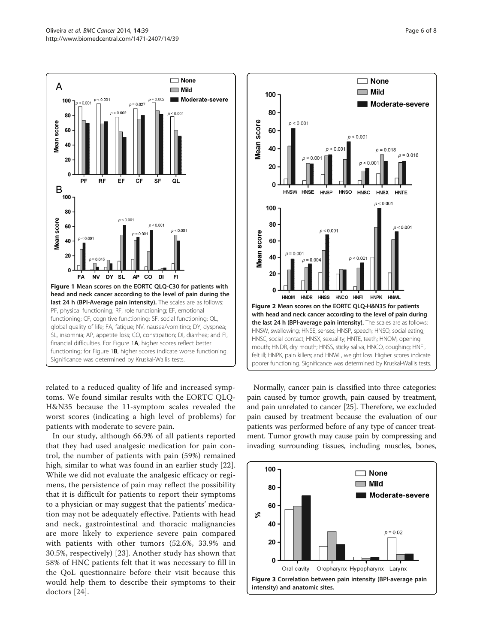<span id="page-5-0"></span>

related to a reduced quality of life and increased symptoms. We found similar results with the EORTC QLQ-H&N35 because the 11-symptom scales revealed the worst scores (indicating a high level of problems) for patients with moderate to severe pain.

In our study, although 66.9% of all patients reported that they had used analgesic medication for pain control, the number of patients with pain (59%) remained high, similar to what was found in an earlier study [[22](#page-7-0)]. While we did not evaluate the analgesic efficacy or regimens, the persistence of pain may reflect the possibility that it is difficult for patients to report their symptoms to a physician or may suggest that the patients' medication may not be adequately effective. Patients with head and neck, gastrointestinal and thoracic malignancies are more likely to experience severe pain compared with patients with other tumors (52.6%, 33.9% and 30.5%, respectively) [[23](#page-7-0)]. Another study has shown that 58% of HNC patients felt that it was necessary to fill in the QoL questionnaire before their visit because this would help them to describe their symptoms to their doctors [\[24](#page-7-0)].



Normally, cancer pain is classified into three categories: pain caused by tumor growth, pain caused by treatment, and pain unrelated to cancer [[25](#page-7-0)]. Therefore, we excluded pain caused by treatment because the evaluation of our patients was performed before of any type of cancer treatment. Tumor growth may cause pain by compressing and invading surrounding tissues, including muscles, bones,

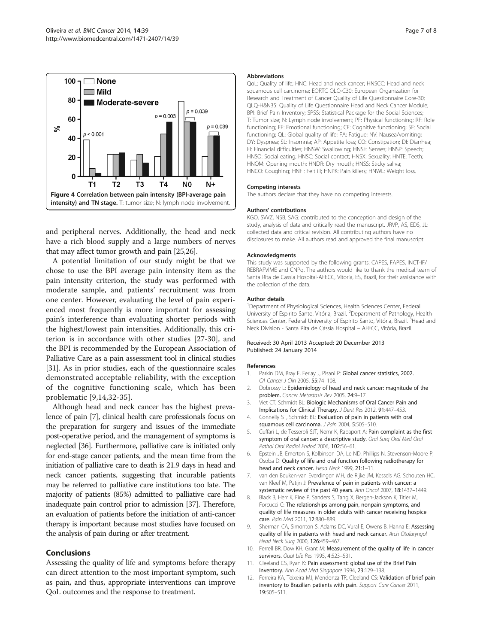<span id="page-6-0"></span>

and peripheral nerves. Additionally, the head and neck have a rich blood supply and a large numbers of nerves that may affect tumor growth and pain [\[25,26\]](#page-7-0).

A potential limitation of our study might be that we chose to use the BPI average pain intensity item as the pain intensity criterion, the study was performed with moderate sample, and patients' recruitment was from one center. However, evaluating the level of pain experienced most frequently is more important for assessing pain's interference than evaluating shorter periods with the highest/lowest pain intensities. Additionally, this criterion is in accordance with other studies [[27-30\]](#page-7-0), and the BPI is recommended by the European Association of Palliative Care as a pain assessment tool in clinical studies [[31](#page-7-0)]. As in prior studies, each of the questionnaire scales demonstrated acceptable reliability, with the exception of the cognitive functioning scale, which has been problematic [9,[14](#page-7-0),[32-35\]](#page-7-0).

Although head and neck cancer has the highest prevalence of pain [7], clinical health care professionals focus on the preparation for surgery and issues of the immediate post-operative period, and the management of symptoms is neglected [\[36](#page-7-0)]. Furthermore, palliative care is initiated only for end-stage cancer patients, and the mean time from the initiation of palliative care to death is 21.9 days in head and neck cancer patients, suggesting that incurable patients may be referred to palliative care institutions too late. The majority of patients (85%) admitted to palliative care had inadequate pain control prior to admission [\[37\]](#page-7-0). Therefore, an evaluation of patients before the initiation of anti-cancer therapy is important because most studies have focused on the analysis of pain during or after treatment.

### Conclusions

Assessing the quality of life and symptoms before therapy can direct attention to the most important symptom, such as pain, and thus, appropriate interventions can improve QoL outcomes and the response to treatment.

#### **Abbreviations**

QoL: Quality of life; HNC: Head and neck cancer; HNSCC: Head and neck squamous cell carcinoma; EORTC QLQ-C30: European Organization for Research and Treatment of Cancer Quality of Life Questionnaire Core-30; QLQ-H&N35: Quality of Life Questionnaire Head and Neck Cancer Module; BPI: Brief Pain Inventory; SPSS: Statistical Package for the Social Sciences; T: Tumor size; N: Lymph node involvement; PF: Physical functioning; RF: Role functioning; EF: Emotional functioning; CF: Cognitive functioning; SF: Social functioning; QL: Global quality of life; FA: Fatigue; NV: Nausea/vomiting; DY: Dyspnea; SL: Insomnia; AP: Appetite loss; CO: Constipation; DI: Diarrhea; FI: Financial difficulties; HNSW: Swallowing; HNSE: Senses; HNSP: Speech; HNSO: Social eating; HNSC: Social contact; HNSX: Sexuality; HNTE: Teeth; HNOM: Opening mouth; HNDR: Dry mouth; HNSS: Sticky saliva; HNCO: Coughing; HNFI: Felt ill; HNPK: Pain killers; HNWL: Weight loss.

#### Competing interests

The authors declare that they have no competing interests.

#### Authors' contributions

KGO, SVVZ, NSB, SAG: contributed to the conception and design of the study, analysis of data and critically read the manuscript. JRVP, AS, EDS, JL: collected data and critical revision. All contributing authors have no disclosures to make. All authors read and approved the final manuscript.

#### Acknowledgments

This study was supported by the following grants: CAPES, FAPES, INCT-IF/ REBRAFVIME and CNPq. The authors would like to thank the medical team of Santa Rita de Cassia Hospital-AFECC, Vitoria, ES, Brazil, for their assistance with the collection of the data.

#### Author details

<sup>1</sup>Department of Physiological Sciences, Health Sciences Center, Federal University of Espirito Santo, Vitória, Brazil. <sup>2</sup>Department of Pathology, Health Sciences Center, Federal University of Espirito Santo, Vitória, Brazil.<sup>3</sup> Head and Neck Division - Santa Rita de Cássia Hospital – AFECC, Vitória, Brazil.

#### Received: 30 April 2013 Accepted: 20 December 2013 Published: 24 January 2014

#### References

- Parkin DM, Bray F, Ferlay J, Pisani P: Global cancer statistics, 2002. CA Cancer J Clin 2005, 55:74–108.
- 2. Dobrossy L: Epidemiology of head and neck cancer: magnitude of the problem. Cancer Metastasis Rev 2005, 24:9–17.
- 3. Viet CT, Schmidt BL: Biologic Mechanisms of Oral Cancer Pain and Implications for Clinical Therapy. J Dent Res 2012, 91:447–453.
- 4. Connelly ST, Schmidt BL: Evaluation of pain in patients with oral squamous cell carcinoma. J Pain 2004, 5:505-510.
- 5. Cuffari L, de Tesseroli SJT, Nemr K, Rapaport A: Pain complaint as the first symptom of oral cancer: a descriptive study. Oral Surg Oral Med Oral Pathol Oral Radiol Endod 2006, 102:56–61.
- 6. Epstein JB, Emerton S, Kolbinson DA, Le ND, Phillips N, Stevenson-Moore P, Osoba D: Quality of life and oral function following radiotherapy for head and neck cancer. Head Neck 1999, 21:1–11.
- 7. van den Beuken-van Everdingen MH, de Rijke JM, Kessels AG, Schouten HC, van Kleef M, Patijn J: Prevalence of pain in patients with cancer: a systematic review of the past 40 years. Ann Oncol 2007, 18:1437–1449.
- 8. Black B, Herr K, Fine P, Sanders S, Tang X, Bergen-Jackson K, Titler M, Forcucci C: The relationships among pain, nonpain symptoms, and quality of life measures in older adults with cancer receiving hospice care. Pain Med 2011, 12:880–889.
- 9. Sherman CA, Simonton S, Adams DC, Vural E, Owens B, Hanna E: Assessing quality of life in patients with head and neck cancer. Arch Otolaryngol Head Neck Surg 2000, 126:459–467.
- 10. Ferrell BR, Dow KH, Grant M: Measurement of the quality of life in cancer survivors. Qual Life Res 1995, 4:523-531.
- 11. Cleeland CS, Ryan K: Pain assessment: global use of the Brief Pain Inventory. Ann Acad Med Singapore 1994, 23:129–138.
- 12. Ferreira KA, Teixeira MJ, Mendonza TR, Cleeland CS: Validation of brief pain inventory to Brazilian patients with pain. Support Care Cancer 2011, 19:505–511.